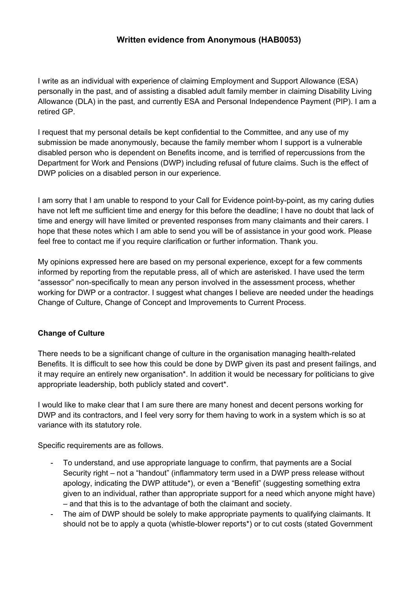# **Written evidence from Anonymous (HAB0053)**

I write as an individual with experience of claiming Employment and Support Allowance (ESA) personally in the past, and of assisting a disabled adult family member in claiming Disability Living Allowance (DLA) in the past, and currently ESA and Personal Independence Payment (PIP). I am a retired GP.

I request that my personal details be kept confidential to the Committee, and any use of my submission be made anonymously, because the family member whom I support is a vulnerable disabled person who is dependent on Benefits income, and is terrified of repercussions from the Department for Work and Pensions (DWP) including refusal of future claims. Such is the effect of DWP policies on a disabled person in our experience.

I am sorry that I am unable to respond to your Call for Evidence point-by-point, as my caring duties have not left me sufficient time and energy for this before the deadline; I have no doubt that lack of time and energy will have limited or prevented responses from many claimants and their carers. I hope that these notes which I am able to send you will be of assistance in your good work. Please feel free to contact me if you require clarification or further information. Thank you.

My opinions expressed here are based on my personal experience, except for a few comments informed by reporting from the reputable press, all of which are asterisked. I have used the term "assessor" non-specifically to mean any person involved in the assessment process, whether working for DWP or a contractor. I suggest what changes I believe are needed under the headings Change of Culture, Change of Concept and Improvements to Current Process.

# **Change of Culture**

There needs to be a significant change of culture in the organisation managing health-related Benefits. It is difficult to see how this could be done by DWP given its past and present failings, and it may require an entirely new organisation\*. In addition it would be necessary for politicians to give appropriate leadership, both publicly stated and covert\*.

I would like to make clear that I am sure there are many honest and decent persons working for DWP and its contractors, and I feel very sorry for them having to work in a system which is so at variance with its statutory role.

Specific requirements are as follows.

- To understand, and use appropriate language to confirm, that payments are a Social Security right – not a "handout" (inflammatory term used in a DWP press release without apology, indicating the DWP attitude\*), or even a "Benefit" (suggesting something extra given to an individual, rather than appropriate support for a need which anyone might have) – and that this is to the advantage of both the claimant and society.
- The aim of DWP should be solely to make appropriate payments to qualifying claimants. It should not be to apply a quota (whistle-blower reports\*) or to cut costs (stated Government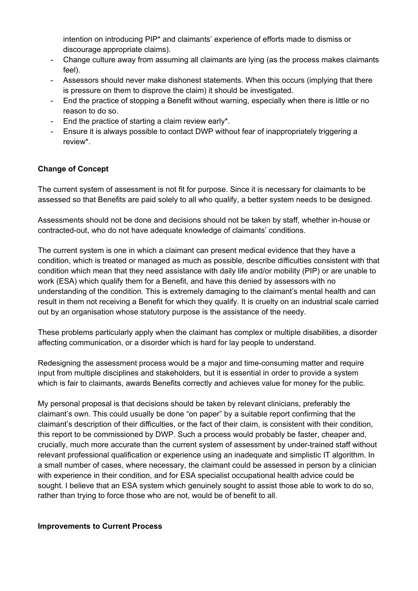intention on introducing PIP\* and claimants' experience of efforts made to dismiss or discourage appropriate claims).

- Change culture away from assuming all claimants are lying (as the process makes claimants feel).
- Assessors should never make dishonest statements. When this occurs (implying that there is pressure on them to disprove the claim) it should be investigated.
- End the practice of stopping a Benefit without warning, especially when there is little or no reason to do so.
- End the practice of starting a claim review early\*.
- Ensure it is always possible to contact DWP without fear of inappropriately triggering a review\*.

### **Change of Concept**

The current system of assessment is not fit for purpose. Since it is necessary for claimants to be assessed so that Benefits are paid solely to all who qualify, a better system needs to be designed.

Assessments should not be done and decisions should not be taken by staff, whether in-house or contracted-out, who do not have adequate knowledge of claimants' conditions.

The current system is one in which a claimant can present medical evidence that they have a condition, which is treated or managed as much as possible, describe difficulties consistent with that condition which mean that they need assistance with daily life and/or mobility (PIP) or are unable to work (ESA) which qualify them for a Benefit, and have this denied by assessors with no understanding of the condition. This is extremely damaging to the claimant's mental health and can result in them not receiving a Benefit for which they qualify. It is cruelty on an industrial scale carried out by an organisation whose statutory purpose is the assistance of the needy.

These problems particularly apply when the claimant has complex or multiple disabilities, a disorder affecting communication, or a disorder which is hard for lay people to understand.

Redesigning the assessment process would be a major and time-consuming matter and require input from multiple disciplines and stakeholders, but it is essential in order to provide a system which is fair to claimants, awards Benefits correctly and achieves value for money for the public.

My personal proposal is that decisions should be taken by relevant clinicians, preferably the claimant's own. This could usually be done "on paper" by a suitable report confirming that the claimant's description of their difficulties, or the fact of their claim, is consistent with their condition, this report to be commissioned by DWP. Such a process would probably be faster, cheaper and, crucially, much more accurate than the current system of assessment by under-trained staff without relevant professional qualification or experience using an inadequate and simplistic IT algorithm. In a small number of cases, where necessary, the claimant could be assessed in person by a clinician with experience in their condition, and for ESA specialist occupational health advice could be sought. I believe that an ESA system which genuinely sought to assist those able to work to do so, rather than trying to force those who are not, would be of benefit to all.

#### **Improvements to Current Process**